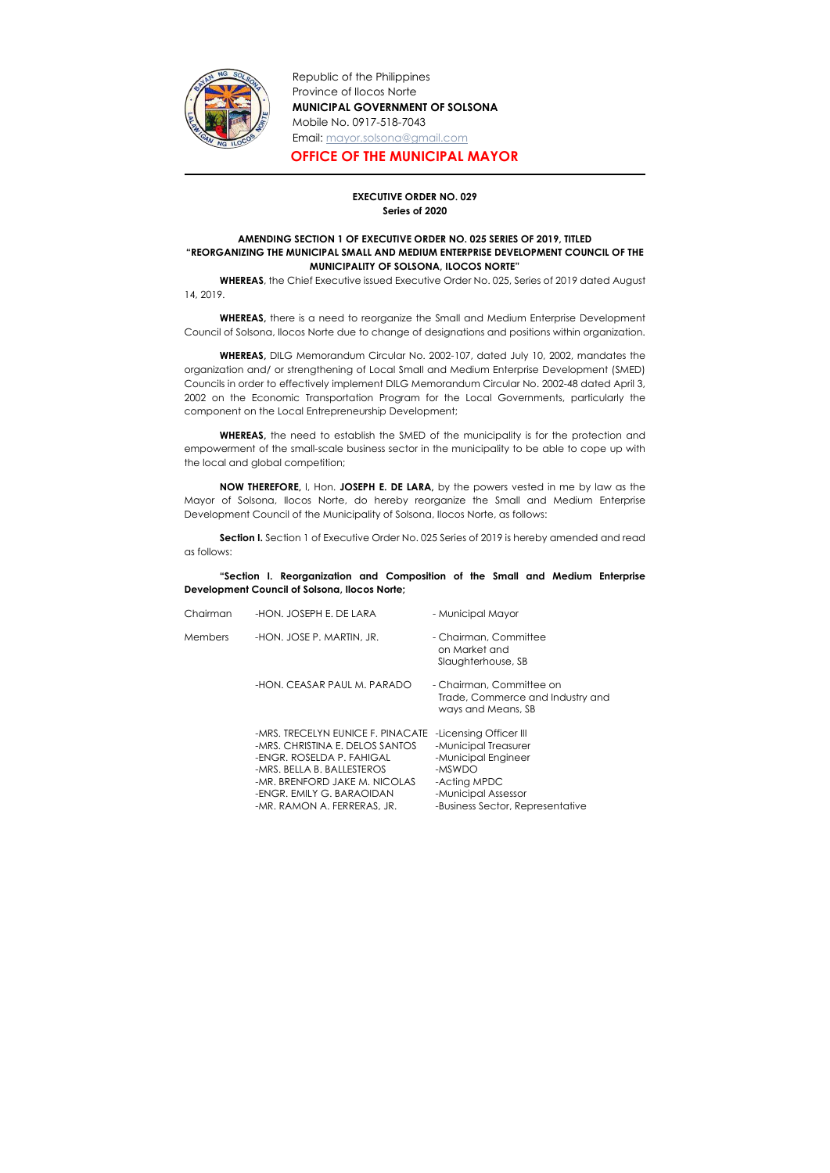

Republic of the Philippines Province of Ilocos Norte MUNICIPAL GOVERNMENT OF SOLSONA Mobile No. 0917-518-7043 Email: mayor.solsona@gmail.com

## OFFICE OF THE MUNICIPAL MAYOR

## EXECUTIVE ORDER NO. 029 Series of 2020

## AMENDING SECTION 1 OF EXECUTIVE ORDER NO. 025 SERIES OF 2019, TITLED "REORGANIZING THE MUNICIPAL SMALL AND MEDIUM ENTERPRISE DEVELOPMENT COUNCIL OF THE MUNICIPALITY OF SOLSONA, ILOCOS NORTE"

 WHEREAS, the Chief Executive issued Executive Order No. 025, Series of 2019 dated August 14, 2019.

WHEREAS, there is a need to reorganize the Small and Medium Enterprise Development Council of Solsona, Ilocos Norte due to change of designations and positions within organization.

Section I. Section 1 of Executive Order No. 025 Series of 2019 is hereby amended and read as follows:

WHEREAS, DILG Memorandum Circular No. 2002-107, dated July 10, 2002, mandates the organization and/ or strengthening of Local Small and Medium Enterprise Development (SMED) Councils in order to effectively implement DILG Memorandum Circular No. 2002-48 dated April 3, 2002 on the Economic Transportation Program for the Local Governments, particularly the component on the Local Entrepreneurship Development;

WHEREAS, the need to establish the SMED of the municipality is for the protection and empowerment of the small-scale business sector in the municipality to be able to cope up with the local and global competition;

NOW THEREFORE, I, Hon. JOSEPH E. DE LARA, by the powers vested in me by law as the Mayor of Solsona, Ilocos Norte, do hereby reorganize the Small and Medium Enterprise Development Council of the Municipality of Solsona, Ilocos Norte, as follows:

"Section I. Reorganization and Composition of the Small and Medium Enterprise Development Council of Solsona, Ilocos Norte;

| Chairman | -HON. JOSEPH E. DE LARA                                                                                                                                                                                                      | - Municipal Mayor                                                                                                                                          |
|----------|------------------------------------------------------------------------------------------------------------------------------------------------------------------------------------------------------------------------------|------------------------------------------------------------------------------------------------------------------------------------------------------------|
| Members  | -HON. JOSE P. MARTIN, JR.                                                                                                                                                                                                    | - Chairman, Committee<br>on Market and<br>Slaughterhouse, SB                                                                                               |
|          | -HON. CEASAR PAUL M. PARADO                                                                                                                                                                                                  | - Chairman, Committee on<br>Trade, Commerce and Industry and<br>ways and Means, SB                                                                         |
|          | -MRS. TRECELYN EUNICE F. PINACATE<br>-MRS. CHRISTINA E. DELOS SANTOS<br>-ENGR. ROSELDA P. FAHIGAL<br>-MRS. BELLA B. BALLESTEROS<br>-MR. BRENFORD JAKE M. NICOLAS<br>-ENGR. EMILY G. BARAOIDAN<br>-MR. RAMON A. FERRERAS, JR. | -Licensing Officer III<br>-Municipal Treasurer<br>-Municipal Engineer<br>-MSWDO<br>-Acting MPDC<br>-Municipal Assessor<br>-Business Sector, Representative |